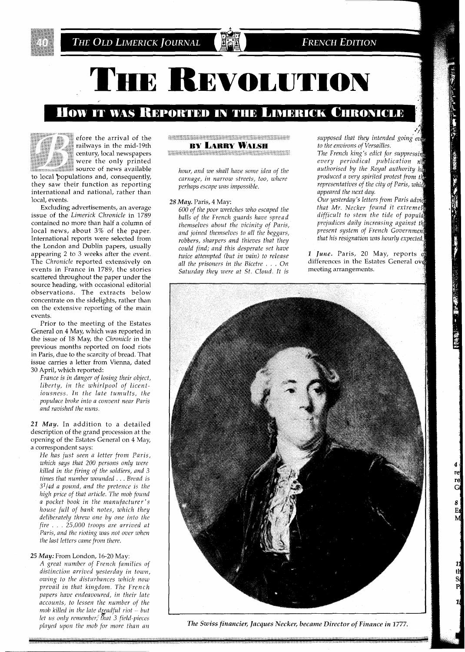

# THE REVOLUTION

# How it was Reported in the Limerick Chronicle

### efore the arrival of the railways in the mid-19th century, local newspapers were the only printed source of news available

to local populations and, consequently, they saw their function as reporting international and national, rather than local, events.

Excluding advertisements, an average issue of the *Limerick Chronicle* in 1789 contained no more than half a column of local news, about **3%** of the paper. International reports were selected from the London and Dublin papers, usually appearing 2 to 3 weeks after the event. The *chronicle* reported extensively on events in France in 1789, the stories scattered throughout the paper under the source heading, with occasional editorial observations. The extracts below concentrate on the sidelights, rather than on the extensive reporting of the main events.

Prior to the meeting of the Estates General on 4 May, which was reported in the issue of 18 May, the *Chronicle* in the previous months reported on food riots in Paris, due to the scarcity of bread. That issue carries a letter from Vienna, dated 30 April, which reported:

*France is in danger of losing their object, liberty, in the whirlpool of licentiousness. In the late tumults, the populace broke into a convent near Paris and ravished the nuns.* 

*21 May.* In addition to a detailed description of the grand procession at the opening of the Estates General on 4 May, a correspondent says:

*He has just seen a letter from Paris, which says that 200 persons only were*   $killed$  in the firing of the soldiers, and 3 *times that number wounded* . . . *Bread is 31/4d a pound, and the pretence is the high price of that article. The mob found a pocket book in the manufacturer's house full of bank notes, which they deliberately threw one by one into the fire* . . . *25,000 troops are arrived at Paris, and the rioting was not over when the last letters came from there.* 

*25 May:* From London, 16-20 May:

*A great number of French families of distinction arrived yesterday in town, owing to the disturbances which now prevail in that kingdom. The French papers have endeavoured, in their late accounts, to lessen the number of the mob kdled in the lak dgadful not* - *but let us only remember, that 3 field-pleces played upon the mob for more than an* 

#### *MARKET MARKET START START START AND ARRESTS AND RESIDENT AND RESIDENT AND RESIDENT AND RESIDENT AND RESIDENT AND RESIDENT AND RESIDENT AND RESIDENT AND RESIDENT AND RESIDENT AND RESIDENT AND RESIDENT AND RESIDENT AND RES* **BY LARRY WALSH** <u> 1999 - Johann Maria III, marko hau</u>

*carnage, in narrow streets, too, where produced a very spirited protest from t/* 

balls of the French guards have spread *difficult to stem the tide of popular bould the micinity of Paris prejudices daily increasing against the themselves about the vicinity of Paris, <i>prejudices daily increasing against the*<br>and *igred themselves to all the heggars. present system of French Government and joined themselves to all the beggars, present system of French Governmen robbers, sharpers and thieves that they could find; and this desperate set have* Saturday they were at St. Cloud. It is

*supposed that they intended going' eu to the environs of Versailles.* 

*The French king's edict for suppressiq every periodical publication* **np**  *hour, and we shall have some idea of the authorised by the Royal authority h( perhaps escape was impossible. representatives of the city of Paris, whic appeared the next day.* 

28 *Mau.* Paris. 4 Mav: *Our yesterday 'S letters from Paris advi, 600 of the poor wretches who escaped the that Mr. Necker found it extremely*<br> *halls of the Erench quards have sweed difficult to stem the tide of popular* 

*twice attempted (but in vain) to release 1 June.* Paris, 20 May, reports  $\alpha$  *all the prisoners in the Bicetre* . . . On differences in the Estates General over differences in the Estates General over<br>meeting arrangements.



*The Swiss financier, Jacques Necker, became Director of Finance in 1777.* 

re<br>Gl

8  $E_{\rm i}$ 

th<br>S<br>P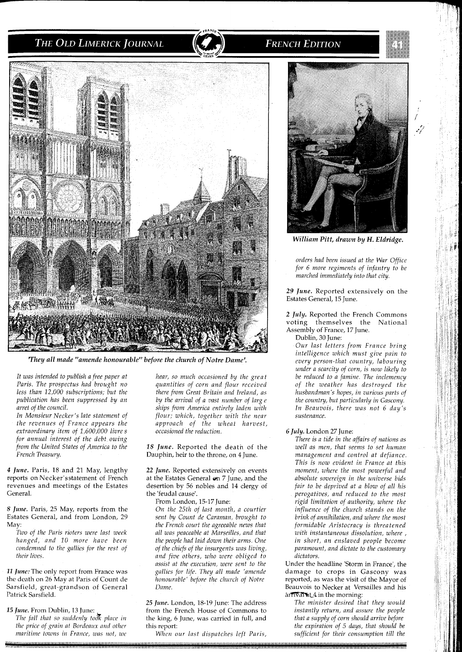



*They all made "amende honourable" before the church of Notre Dame'.* 

*It was intended to publish a free paper at Paris. The prospectus had brought no less than 12,000 subscriptions; but the publication has been suppressed by an arret of the council.* 

*In Monsieur Necker's late statement of the revenues of France appears the extraordinary item of 1,600,000 livre s for annual interest of the debt owing from the United States of America to the French Treasury.* 

*4 June.* Paris, 18 and 21 May, lengthy reports on Necker'sstatement of French revenues and meetings of the Estates General.

*8 June.* Paris, 25 May, reports from the Estates General, and from London, 29 May:

*Two of the Paris rioters were last week hanged, and 10 more have been condemned to the gallies for the rest of their lives.* 

*11 June:* The only report from France was the death on 26 May at Paris of Count de Sarsfield, great-grandson of General Patrick Sarsfield.

*15 June.* From Dublin, 13 June:

*The fall that so silddcnly to& place in the price of grain at Bordeaux and other maritirne towns in France, zoos not, zue* 

*hear, so much occasioned by the great quantities of corn and flour received there from Great Britain and Ireland, as by the arrival of a vast number of large ships from America entirely laden with flour; which, together with the near approach of the wheat harvest, occasioned the reduction.* 

18 June. Reported the death of the Dauphin, heir to the throne, on 4 June.

*22 June.* Reported extensively on events at the Estates General on 7 June, and the desertion by 56 nobles and 14 clergy of the 'feudal cause'.

From London, 15-17 June

*On the 25th of last month, a courtier sent by Count de Caraman, brought to the French court the agreeable news that all was peaceable at Marsezlles, and that the people had laid down their arms. One of the chiefs of the insurgents was living, and five others, who were oblzged to assist at the execution, were sent to the gallies for life. They all made 'amende honourable' before the church of Notre Dame* 

*25 June.* London, 18-19 June: The address from the French House of Commons to the king, *6* June, was carried in full, and this report:

*When our last dispatches left Paris,* 



**FRENCH EDITION** 

*William Pitt, drawn by H. Eldridge.* 

*orders had been issued at the War Office for 6 more regiments of infantry to be marched immediately into that city.* 

*29 June.* Reported extensively on the Estates General, 15 June.

*2 July.* Reported the French Commons voting themselves the National Assembly of France, 17 June.

Dublin, 30 June:

*Our last letters from France bring intelligence which must give pain to every person-that country, labouring under a scarcity of corn, is now likely to be reduced to a famine. The inclemency of the weather has destroyed the husbandman's hopes, in various parts of the country, but particularly in Gascony. In Beauvois, there was not 6 day's sustenance.* 

## *6 July.* London 27 June

*There is a tide in the affairs of nations as well as men, that seems to set human management and control at defiance This is now evident in France at this moment, where the most powerful and absolute sovereign in the universe bids fazr to be deprived at a blow of all his perogatives, and reduced to the most*  $r$ *igid limitation of authority, where the znfluence of the church stands on the brink of annihilation, and where the most formidable Aristocracy is threatened* with instantaneous dissolution, where , *in short, an enslaved people become paramount, and dictate to the customary dictators.* 

Under the headline 'Storm in France', the damage to crops in Gascony was reported, as was the visit of the Mayor of Beauvois to Necker at Versailles and his arfTVal at 4 in the morning:

The minister desired that they would *znstantly return, and assure the people that a supply of corn should arrive before the expiration of 5 days, that should be*  $sufficient$  for their consumption till the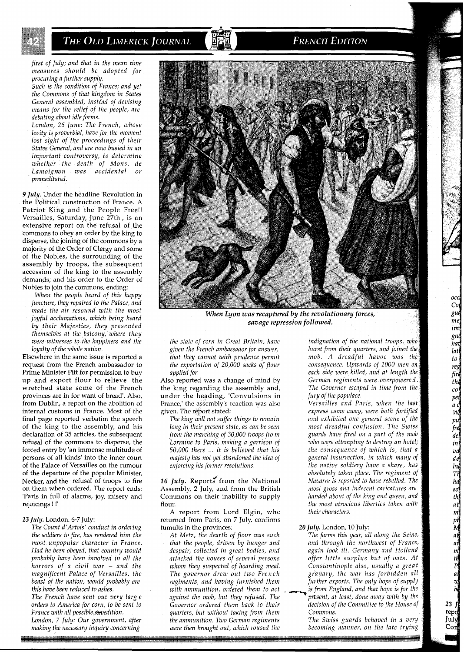*first of July; and that in the mean time measures should be adopted for procuring a further supply.* 

*Such is the condition of France; and yet the Commons of that kingdom in States General assembled, instead of devising means for the relief of the people, are debating about idle forms.* 

*London, 26 ]me: The French, whose levity is proverbial, have for the moment lost sight of the proceedings of their States General, and are now busied in an important controversy, to determine whether the death of Mons. de Lamoigwn was accidental or premeditated.* 

*9 July.* Under the headline 'Revolution in the Political construction of France. A Patriot King and the People Free!! Versailles, Saturday, June 27th', is an extensive report on the refusal of the commons to obey an order by the king to disperse, the joining of the commons by a majority of the Order of Clergy and some of the Nobles, the surrounding of the assembly by troops, the subsequent accession of the king to the assembly demands, and his order to the Order of Nobles to join the commons, ending:

*When the people heard of thls happy juncture, they repalred to the Palace, and made the air resound with the most joyful acclamations, which being heard by their Majesties, they presented themselves at the balcony,'where they were witnesses to the happiness and the loyalty of the whole nation.* 

Elsewhere in the same issue is reported a request from the French ambassador to Prime Minister Pitt for permission to buy up and export flour to relieve 'the wretched state some of the French provinces are in for want of bread'. Also, from Dublin, a report on the abolition of internal customs in France. Most of the final page reported verbatim the speech of the king to the assembly, and his declaration of 35 articles, the subsequent refusal of the commons to disperse, the forced entry by 'an immense multitude of persons of all kinds' into the inner court of the Palace of Versailles on the rumour of the departure of the popular Minister, Necker, and the refusal of troops to fire on them when ordered. The report ends: 'Paris in full of alarms, joy, misery and rejoicings ! !'

#### *13 July.* London. 6-7 July:

*The Count d'Artois' conduct in ordering the soldiers to fire, has rendered him the most unpopular character in France. Had he been obeyed, that country would probably have been involved in all the horrors of a civil war* - *and the magnificent Palace of Versailles, the boast of the nation, would probably ere this have been reduced to ashes.* 

*The French have sent out very large orders to America for corn, to be sent to France with all possible expedition.* 

*London, 7 July: Our government, after making the necessary inquiry concerning* 



**FRENCH EDITION** 

*When Lyon was recaptured by the revolutionary forces, savage repression followed.* 

*the state of corn in Great Britain, have given the French ambassador for answer, that they cannot wlth prudence permit the exportation of 20,000 sacks of flour applied for.* 

Also reported was a change of mind by the king regarding the assembly and, under the heading, 'Convulsions in France,' the assembly's reaction was also given. The report stated:

*The kmg wlll not suffer thmgs to remaln long in thelr present state, as can be seen from the marchlng of 30,000 troops fro m*  Lorraine to Paris, making a garrison of 50,000 there  $\ldots$  it is believed that his *malesty has not yet abandoned the ldea of enforcing hls former resolutions* 

16 July. Reports from the National Assembly, 2 July, and from the British Commons on their inability to supply flour.

A report from Lord Elgin, who returned from Paris, on 7 July, confirms tumults in the provinces:

*At Metz, the dearth of flour was such that the people, driven by hunger and despair, collected in great bodies, and attacked the houses of several persons whom they suspected of hoarding meal. The governor drew out two French regiments, and having furnished them*  against the mob, but they refused. The<br>Governor ordered them back to their *quarters, but without taking from them*<br>*the ammunition. Two German regiments* 

*indignation of the national troops, burst from their quarters, and joined the mob. A dreadful havoc was consequence. Upwards of 1000 men each side were killed, and at length German regiments were overpowere The Governor escaped in time from the fury of the populace.* 

i

occ Co gul me im  $\frac{1}{8}$ hai  $|$ at  $to^{\circ}$ reg fire  $th$ col  $p$ en a d<br>Wl

 $p$ <br> $|p$ del  $in$  $\mathit{v}\mathit{d}$  $\left| de \right|$ 

hu<br>Th<br>ha<br>so<br>th

ať

mpil Matamath Plant<br>a mpil Plant<br>be

 $23<sub>1</sub>$ repd July

*Versailles and Paris, when the last express came away, were both fortified and exhibited one general scene most dreadful confusion. The guards have fired on a part of the mo*  who were attempting to destroy an hotel; *the consequence of which is, that general insurrection, in which many of the native soldiery have a share, absolutely taken place. The regiment of Navarre is reported to have rebelled. most gross and indecent caricatures handed about of the king and queen, and the most atrocious liberties taken with their characters.* 

# *20 July.* London, 10 July:

*The farms this year, all along the Seine, and through the northwest of France, again look ill. Germany and Holland offer little surplus but of oats. At Constantinople also, usually a great granary, the war has forbidden all further exports. The only hope of supply is from England, and that hope is for the*<br>*present, at least, done away with by the decision of the Committee to the House of Commons.* 

The Swiss guards behaved in a very were then brought out, which roused the becoming manner, on the late trying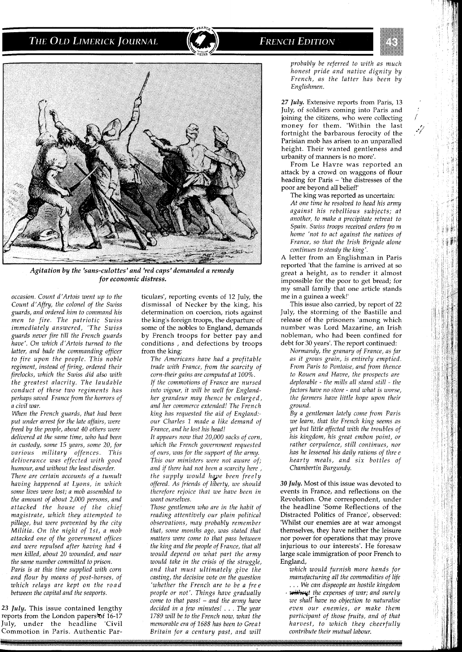# **FRENCH EDITION**



*Agitation by the 'sans-culottes'and 'red caps'demanded a remedy for economic distress.* 

*occasion. Count d'Artois went up to the Count d'Affry, the colonel of the Swiss guards, and ordered him to command his men to fire. The patriotic Swiss immediately answered, 'The Swiss guards never fire till the French guards have'. On which d'Artois turned to the latter, and bade the commanding officer to fire upon the people. This noble regiment, instead of firing, ordered their firelocks, which the Swiss did also with the greatest alacrity. The laudable conduct of these two regiments has perhaps saved France from the horrors of a civil war.* 

*When the French guards, that had been put under arrest for the late affairs, were freed by the people, about 40 others were delivered at the same time, who had been in custody, some 15 years, some 20, for various military offences. This deliverance was effected with good humour, and without the least disorder.* 

*There are certain accounts of a tumult having happened at Lyons, in which some lives were lost; a mob assembled to the amount of about 2,000 persons, and attacked the house of the chief magistrate, which they attempted to but were prevented by the city Militia. On the night of Ist, a mob attacked one of the government offices and were repulsed after having had 4 men killed, about 20 wounded, and near the same number committed to prison.* 

*Paris is at this time supplied with corn and flour by means of post-horses, of which relays are kept on the road between the capital and the seaports.* 

*23 July.* This issue contained lengthy reports from the London papers of 16-17 July, under the headline 'Civil Commotion in Paris. Authentic Par-

ticulars', reporting events of 12 July, the dismissal of Necker by the king, his determination on coercion, riots against the king's foreign troops, the departure of some of the nobles to England, demands by French troops for better pay and conditions , and defections by troops from the king:

*The Americans have had a profitable trade with France, from the scarcity of corn-their gains are computed at 100%. If the commotions of France are nursed into vigour, it will be well for Englandher grandeur may thence be enlarged, and her commerce extended! The French king has requested the aid of England: our Charles 1 made a like demand of France, and he lost his head!* 

*It appears now that 20,000 sacks of corn, which the French government requested of ours, was for the support of the army. This our ministers were not aware of; and if there had not been a scarcity here* , *the supply would huge been freely offered. As friends of liberty, we should therefore rejoice that we have been in want ourselves.* 

*Those gentlemen who are in the habit of reading attentively our plain political observations, may probably remember that, some months ago, was stated that matters were come to that pass between the king and the people of France, that all would depend on what part the army would take in the crisis of the struggle, and that must ultimately give the casting, the decisive vote on the question 'whether the French are to be a free people or not'. Things have gradually come to that pass!* - *and the army have decided in a few minutes!* . . . *The year 1789 will be to the French now, what the memorable era of 1688 has been to Grea t Britain for a century past, and will* 

*probably be referred to with as much honest pride and native dignity by French, as the latter has been by Englishmen.* 

**27** *July.* Extensive reports from Paris, 13 July, of soldiers coming into Paris and joining the citizens, who were collecting money for them. 'Within the last fortnight the barbarous ferocity of the Parisian mob has arisen to an unparalled height. Their wanted gentleness and urbanity of manners is no more'.

From Le Havre was reported an attack by a crowd on waggons of flour heading for Paris - 'the distresses of the poor are beyond all belief!'

The king was reported as uncertain: *At one time he resolved to head his army against his rebellious subjects; at another, to make a precipitate retreat to Spain. Swiss troops received orders fro m home 'not to act against the natives of France, so that the Irish Brigade alone continues to steady the king'.* 

A letter from an Englishman in Paris reported 'that the famine is arrived at so great a height, as to render it almost impossible for the poor to get bread; for my small family that one article stands me in a guinea a week!'

This issue also carried, by report of 22 July, the storming of the Bastille and release of the prisoners 'among which number was Lord Mazarine, an Irish nobleman, who had been confined for debt for *30* years'. The report continued:

*Normandy, the granary of France, as far as it grows grain, is entirely emptied. From Paris to Pontoise, and from thence to Rouen and Havre, the prospects are deplomble* - *the mills all stand still* - *the factors have no store* - *and what is worse, the farmers have little hope upon their ground.* 

*By a gentleman lately come from Paris we learn, that the French king seems as yet but little affected with the troubles of his kingdom, his great embon point, or rather corpulence, still continues, nor has he lessened his daily rations of three hearty meals, and six bottles of Chambertin Burgundy.* 

*30 July.* Most of this issue was devoted to events in France, and reflections on the Revolution. One correspondent, under the headline 'Some Reflections of the Distracted Politics of France', observed: 'Whilst our enemies are at war amongst themselves, they have neither the leisure nor power for operations that may prove injurious to our interests'. He foresaw large scale immigration of poor French to England,

*which would furnish more hands for manufacturing all the commodities of life*  . . . *We can dispeople an hostile kingdom*  - *Wt the expenses of war; and surely we shall have no objection to naturalise even our enemies, or make them participant of those fruits, and of that harvest, to which they cheerfully contribute their mutual labour.*